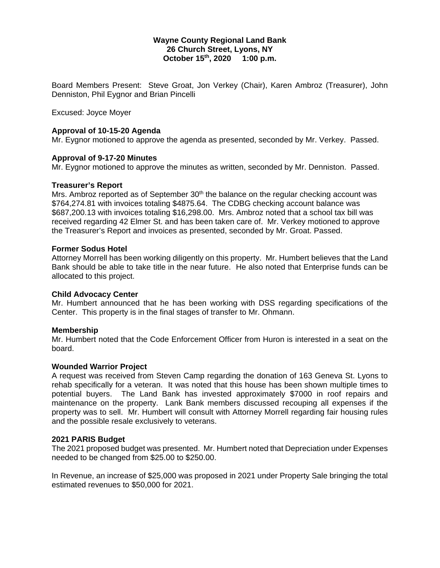### **Wayne County Regional Land Bank 26 Church Street, Lyons, NY October 15th, 2020 1:00 p.m.**

Board Members Present: Steve Groat, Jon Verkey (Chair), Karen Ambroz (Treasurer), John Denniston, Phil Eygnor and Brian Pincelli

Excused: Joyce Moyer

## **Approval of 10-15-20 Agenda**

Mr. Eygnor motioned to approve the agenda as presented, seconded by Mr. Verkey. Passed.

# **Approval of 9-17-20 Minutes**

Mr. Eygnor motioned to approve the minutes as written, seconded by Mr. Denniston. Passed.

### **Treasurer's Report**

Mrs. Ambroz reported as of September  $30<sup>th</sup>$  the balance on the regular checking account was \$764,274.81 with invoices totaling \$4875.64. The CDBG checking account balance was \$687,200.13 with invoices totaling \$16,298.00. Mrs. Ambroz noted that a school tax bill was received regarding 42 Elmer St. and has been taken care of. Mr. Verkey motioned to approve the Treasurer's Report and invoices as presented, seconded by Mr. Groat. Passed.

## **Former Sodus Hotel**

Attorney Morrell has been working diligently on this property. Mr. Humbert believes that the Land Bank should be able to take title in the near future. He also noted that Enterprise funds can be allocated to this project.

### **Child Advocacy Center**

Mr. Humbert announced that he has been working with DSS regarding specifications of the Center. This property is in the final stages of transfer to Mr. Ohmann.

### **Membership**

Mr. Humbert noted that the Code Enforcement Officer from Huron is interested in a seat on the board.

### **Wounded Warrior Project**

A request was received from Steven Camp regarding the donation of 163 Geneva St. Lyons to rehab specifically for a veteran. It was noted that this house has been shown multiple times to potential buyers. The Land Bank has invested approximately \$7000 in roof repairs and maintenance on the property. Lank Bank members discussed recouping all expenses if the property was to sell. Mr. Humbert will consult with Attorney Morrell regarding fair housing rules and the possible resale exclusively to veterans.

### **2021 PARIS Budget**

The 2021 proposed budget was presented. Mr. Humbert noted that Depreciation under Expenses needed to be changed from \$25.00 to \$250.00.

In Revenue, an increase of \$25,000 was proposed in 2021 under Property Sale bringing the total estimated revenues to \$50,000 for 2021.